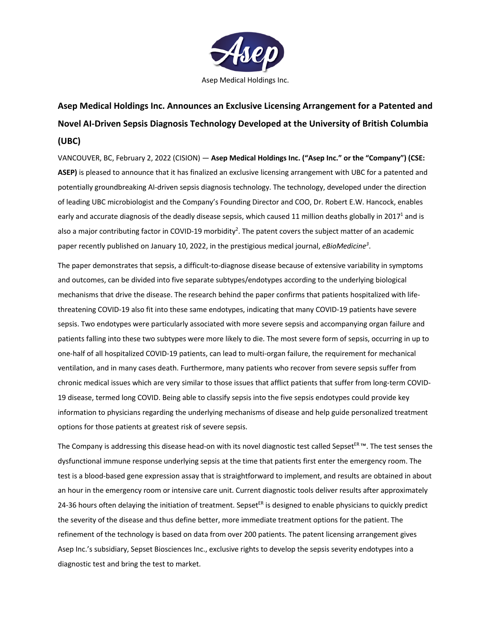

# **Asep Medical Holdings Inc. Announces an Exclusive Licensing Arrangement for a Patented and Novel AI-Driven Sepsis Diagnosis Technology Developed at the University of British Columbia (UBC)**

VANCOUVER, BC, February 2, 2022 (CISION) — **Asep Medical Holdings Inc. ("Asep Inc." or the "Company") (CSE: ASEP)** is pleased to announce that it has finalized an exclusive licensing arrangement with UBC for a patented and potentially groundbreaking AI-driven sepsis diagnosis technology. The technology, developed under the direction of leading UBC microbiologist and the Company's Founding Director and COO, Dr. Robert E.W. Hancock, enables early and accurate diagnosis of the deadly disease sepsis, which caused 11 million deaths globally in 2017<sup>1</sup> and is also a major contributing factor in COVID-19 morbidity<sup>2</sup>. The patent covers the subject matter of an academic paper recently published on January 10, 2022, in the prestigious medical journal, *eBioMedicine3* .

The paper demonstrates that sepsis, a difficult-to-diagnose disease because of extensive variability in symptoms and outcomes, can be divided into five separate subtypes/endotypes according to the underlying biological mechanisms that drive the disease. The research behind the paper confirms that patients hospitalized with lifethreatening COVID-19 also fit into these same endotypes, indicating that many COVID-19 patients have severe sepsis. Two endotypes were particularly associated with more severe sepsis and accompanying organ failure and patients falling into these two subtypes were more likely to die. The most severe form of sepsis, occurring in up to one-half of all hospitalized COVID-19 patients, can lead to multi-organ failure, the requirement for mechanical ventilation, and in many cases death. Furthermore, many patients who recover from severe sepsis suffer from chronic medical issues which are very similar to those issues that afflict patients that suffer from long-term COVID-19 disease, termed long COVID. Being able to classify sepsis into the five sepsis endotypes could provide key information to physicians regarding the underlying mechanisms of disease and help guide personalized treatment options for those patients at greatest risk of severe sepsis.

The Company is addressing this disease head-on with its novel diagnostic test called Sepset<sup>ER</sup> ™. The test senses the dysfunctional immune response underlying sepsis at the time that patients first enter the emergency room. The test is a blood-based gene expression assay that is straightforward to implement, and results are obtained in about an hour in the emergency room or intensive care unit. Current diagnostic tools deliver results after approximately 24-36 hours often delaying the initiation of treatment. Sepset<sup>ER</sup> is designed to enable physicians to quickly predict the severity of the disease and thus define better, more immediate treatment options for the patient. The refinement of the technology is based on data from over 200 patients. The patent licensing arrangement gives Asep Inc.'s subsidiary, Sepset Biosciences Inc., exclusive rights to develop the sepsis severity endotypes into a diagnostic test and bring the test to market.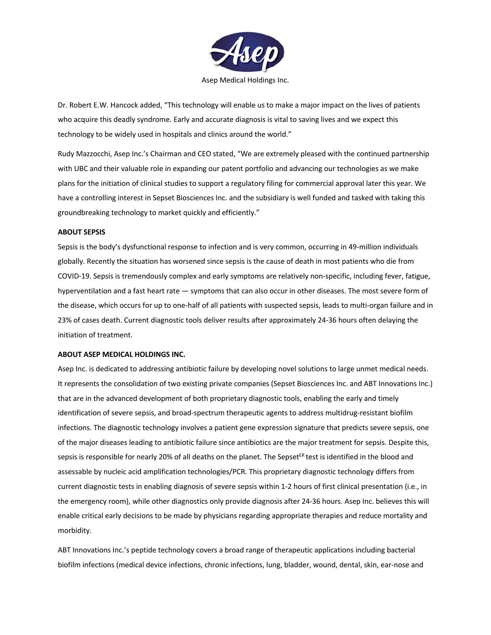

Dr. Robert E.W. Hancock added, "This technology will enable us to make a major impact on the lives of patients who acquire this deadly syndrome. Early and accurate diagnosis is vital to saving lives and we expect this technology to be widely used in hospitals and clinics around the world."

Rudy Mazzocchi, Asep Inc.'s Chairman and CEO stated, "We are extremely pleased with the continued partnership with UBC and their valuable role in expanding our patent portfolio and advancing our technologies as we make plans for the initiation of clinical studies to support a regulatory filing for commercial approval later this year. We have a controlling interest in Sepset Biosciences Inc. and the subsidiary is well funded and tasked with taking this groundbreaking technology to market quickly and efficiently."

### **ABOUT SEPSIS**

Sepsis is the body's dysfunctional response to infection and is very common, occurring in 49-million individuals globally. Recently the situation has worsened since sepsis is the cause of death in most patients who die from COVID-19. Sepsis is tremendously complex and early symptoms are relatively non-specific, including fever, fatigue, hyperventilation and a fast heart rate — symptoms that can also occur in other diseases. The most severe form of the disease, which occurs for up to one-half of all patients with suspected sepsis, leads to multi-organ failure and in 23% of cases death. Current diagnostic tools deliver results after approximately 24-36 hours often delaying the initiation of treatment.

#### **ABOUT ASEP MEDICAL HOLDINGS INC.**

Asep Inc. is dedicated to addressing antibiotic failure by developing novel solutions to large unmet medical needs. It represents the consolidation of two existing private companies (Sepset Biosciences Inc. and ABT Innovations Inc.) that are in the advanced development of both proprietary diagnostic tools, enabling the early and timely identification of severe sepsis, and broad-spectrum therapeutic agents to address multidrug-resistant biofilm infections. The diagnostic technology involves a patient gene expression signature that predicts severe sepsis, one of the major diseases leading to antibiotic failure since antibiotics are the major treatment for sepsis. Despite this, sepsis is responsible for nearly 20% of all deaths on the planet. The Sepset<sup>ER</sup> test is identified in the blood and assessable by nucleic acid amplification technologies/PCR. This proprietary diagnostic technology differs from current diagnostic tests in enabling diagnosis of severe sepsis within 1-2 hours of first clinical presentation (i.e., in the emergency room), while other diagnostics only provide diagnosis after 24-36 hours. Asep Inc. believes this will enable critical early decisions to be made by physicians regarding appropriate therapies and reduce mortality and morbidity.

ABT Innovations Inc.'s peptide technology covers a broad range of therapeutic applications including bacterial biofilm infections (medical device infections, chronic infections, lung, bladder, wound, dental, skin, ear-nose and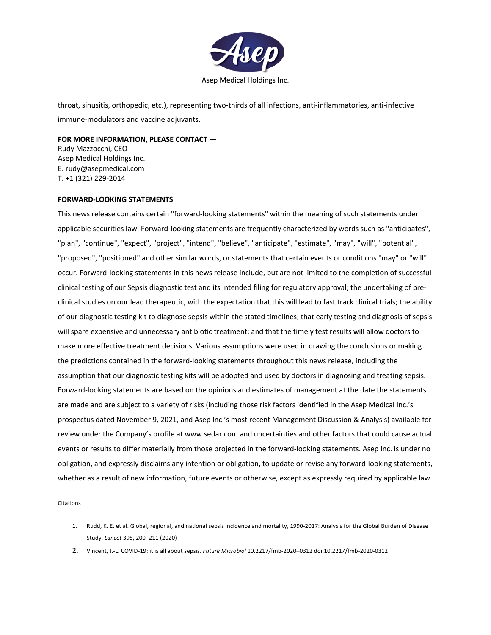

throat, sinusitis, orthopedic, etc.), representing two-thirds of all infections, anti-inflammatories, anti-infective immune-modulators and vaccine adjuvants.

## **FOR MORE INFORMATION, PLEASE CONTACT —**

Rudy Mazzocchi, CEO Asep Medical Holdings Inc. E. rudy@asepmedical.com T. +1 (321) 229-2014

#### **FORWARD-LOOKING STATEMENTS**

This news release contains certain "forward-looking statements" within the meaning of such statements under applicable securities law. Forward-looking statements are frequently characterized by words such as "anticipates", "plan", "continue", "expect", "project", "intend", "believe", "anticipate", "estimate", "may", "will", "potential", "proposed", "positioned" and other similar words, or statements that certain events or conditions "may" or "will" occur. Forward-looking statements in this news release include, but are not limited to the completion of successful clinical testing of our Sepsis diagnostic test and its intended filing for regulatory approval; the undertaking of preclinical studies on our lead therapeutic, with the expectation that this will lead to fast track clinical trials; the ability of our diagnostic testing kit to diagnose sepsis within the stated timelines; that early testing and diagnosis of sepsis will spare expensive and unnecessary antibiotic treatment; and that the timely test results will allow doctors to make more effective treatment decisions. Various assumptions were used in drawing the conclusions or making the predictions contained in the forward-looking statements throughout this news release, including the assumption that our diagnostic testing kits will be adopted and used by doctors in diagnosing and treating sepsis. Forward-looking statements are based on the opinions and estimates of management at the date the statements are made and are subject to a variety of risks (including those risk factors identified in the Asep Medical Inc.'s prospectus dated November 9, 2021, and Asep Inc.'s most recent Management Discussion & Analysis) available for review under the Company's profile at www.sedar.com and uncertainties and other factors that could cause actual events or results to differ materially from those projected in the forward-looking statements. Asep Inc. is under no obligation, and expressly disclaims any intention or obligation, to update or revise any forward-looking statements, whether as a result of new information, future events or otherwise, except as expressly required by applicable law.

**Citations** 

- 1. Rudd, K. E. et al. Global, regional, and national sepsis incidence and mortality, 1990-2017: Analysis for the Global Burden of Disease Study. *Lancet* 395, 200–211 (2020)
- 2. Vincent, J.-L. COVID-19: it is all about sepsis. *Future Microbiol* 10.2217/fmb-2020–0312 doi:10.2217/fmb-2020-0312